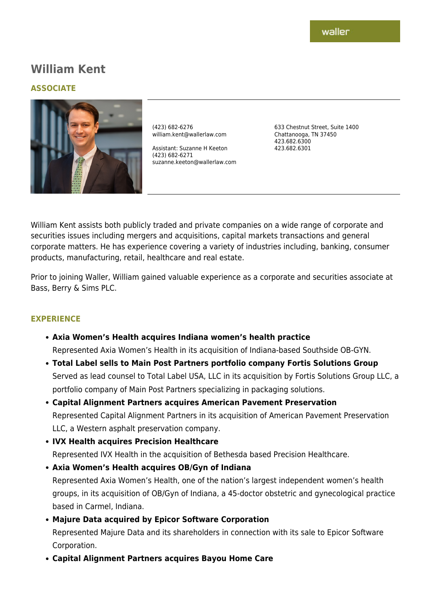# **William Kent**

#### **ASSOCIATE**



(423) 682-6276 william.kent@wallerlaw.com

Assistant: Suzanne H Keeton (423) 682-6271 suzanne.keeton@wallerlaw.com 633 Chestnut Street, Suite 1400 Chattanooga, TN 37450 423.682.6300 423.682.6301

William Kent assists both publicly traded and private companies on a wide range of corporate and securities issues including mergers and acquisitions, capital markets transactions and general corporate matters. He has experience covering a variety of industries including, banking, consumer products, manufacturing, retail, healthcare and real estate.

Prior to joining Waller, William gained valuable experience as a corporate and securities associate at Bass, Berry & Sims PLC.

#### **EXPERIENCE**

- **Axia Women's Health acquires Indiana women's health practice** Represented Axia Women's Health in its acquisition of Indiana-based Southside OB-GYN.
- **Total Label sells to Main Post Partners portfolio company Fortis Solutions Group** Served as lead counsel to Total Label USA, LLC in its acquisition by Fortis Solutions Group LLC, a portfolio company of Main Post Partners specializing in packaging solutions.
- **Capital Alignment Partners acquires American Pavement Preservation** Represented Capital Alignment Partners in its acquisition of American Pavement Preservation LLC, a Western asphalt preservation company.
- **IVX Health acquires Precision Healthcare**

Represented IVX Health in the acquisition of Bethesda based Precision Healthcare.

- **Axia Women's Health acquires OB/Gyn of Indiana** Represented Axia Women's Health, one of the nation's largest independent women's health groups, in its acquisition of OB/Gyn of Indiana, a 45-doctor obstetric and gynecological practice based in Carmel, Indiana.
- **Majure Data acquired by Epicor Software Corporation** Represented Majure Data and its shareholders in connection with its sale to Epicor Software Corporation.
- **Capital Alignment Partners acquires Bayou Home Care**